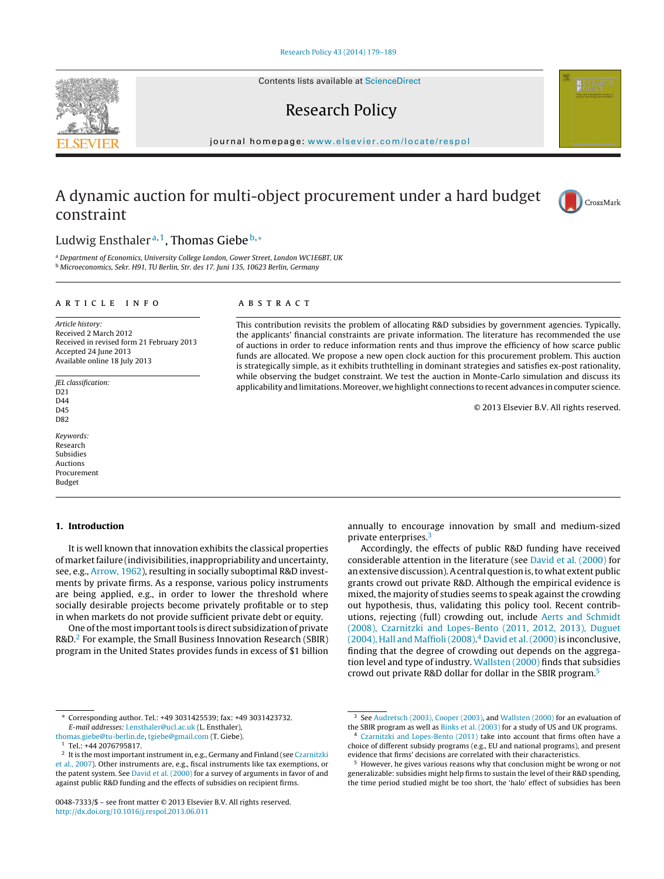Contents lists available at [ScienceDirect](http://www.sciencedirect.com/science/journal/00487333)

## Research Policy

jour nal homepage: [www.elsevier.com/locate/respol](http://www.elsevier.com/locate/respol)

## A dynamic auction for multi-object procurement under a hard budget constraint



### Ludwig Ensthaler<sup>a,1</sup>, Thomas Giebe<sup>b,\*</sup>

<sup>a</sup> Department of Economics, University College London, Gower Street, London WC1E6BT, UK <sup>b</sup> Microeconomics, Sekr. H91, TU Berlin, Str. des 17. Juni 135, 10623 Berlin, Germany

#### a r t i c l e i n f o

Article history: Received 2 March 2012 Received in revised form 21 February 2013 Accepted 24 June 2013 Available online 18 July 2013

JEL classification: D<sub>21</sub> D<sub>44</sub> D45 D82

Keywords: Research Subsidies Auctions Procurement Budget

#### **1. Introduction**

It is well known that innovation exhibits the classical properties of market failure (indivisibilities, inappropriability and uncertainty, see, e.g., [Arrow,](#page--1-0) [1962\),](#page--1-0) resulting in socially suboptimal R&D investments by private firms. As a response, various policy instruments are being applied, e.g., in order to lower the threshold where socially desirable projects become privately profitable or to step in when markets do not provide sufficient private debt or equity.

One of the most important tools is direct subsidization of private R&D.2 For example, the Small Business Innovation Research (SBIR) program in the United States provides funds in excess of \$1 billion

∗ Corresponding author. Tel.: +49 3031425539; fax: +49 3031423732. E-mail addresses: [l.ensthaler@ucl.ac.uk](mailto:l.ensthaler@ucl.ac.uk) (L. Ensthaler),

#### A B S T R A C T

This contribution revisits the problem of allocating R&D subsidies by government agencies. Typically, the applicants' financial constraints are private information. The literature has recommended the use of auctions in order to reduce information rents and thus improve the efficiency of how scarce public funds are allocated. We propose a new open clock auction for this procurement problem. This auction is strategically simple, as it exhibits truthtelling in dominant strategies and satisfies ex-post rationality, while observing the budget constraint. We test the auction in Monte-Carlo simulation and discuss its applicability and limitations. Moreover, we highlight connections to recent advances in computer science.

© 2013 Elsevier B.V. All rights reserved.

annually to encourage innovation by small and medium-sized private enterprises.3

Accordingly, the effects of public R&D funding have received considerable attention in the literature (see [David](#page--1-0) et [al.](#page--1-0) [\(2000\)](#page--1-0) for an extensive discussion). A central question is, to what extent public grants crowd out private R&D. Although the empirical evidence is mixed, the majority of studies seems to speak against the crowding out hypothesis, thus, validating this policy tool. Recent contributions, rejecting (full) crowding out, include [Aerts](#page--1-0) [and](#page--1-0) [Schmidt](#page--1-0) [\(2008\),](#page--1-0) [Czarnitzki](#page--1-0) [and](#page--1-0) [Lopes-Bento](#page--1-0) [\(2011,](#page--1-0) [2012,](#page--1-0) [2013\),](#page--1-0) [Duguet](#page--1-0)  $(2004)$ , [Hall](#page--1-0) [and](#page--1-0) Maffioli $(2008)<sup>4</sup>$  [David](#page--1-0) et al.  $(2000)$  is inconclusive, finding that the degree of crowding out depends on the aggregation level and type of industry. [Wallsten](#page--1-0) [\(2000\)](#page--1-0) finds that subsidies crowd out private R&D dollar for dollar in the SBIR program.5



[thomas.giebe@tu-berlin.de,](mailto:thomas.giebe@tu-berlin.de) [tgiebe@gmail.com](mailto:tgiebe@gmail.com) (T. Giebe).

Tel.: +44 2076795817.

 $^{\rm 2}$  It is the most important instrument in, e.g., Germany and Finland (see [Czarnitzki](#page--1-0) et [al.,](#page--1-0) [2007\).](#page--1-0) Other instruments are, e.g., fiscal instruments like tax exemptions, or the patent system. See [David](#page--1-0) et [al.](#page--1-0) [\(2000\)](#page--1-0) for a survey of arguments in favor of and against public R&D funding and the effects of subsidies on recipient firms.

<sup>0048-7333/\$</sup> – see front matter © 2013 Elsevier B.V. All rights reserved. [http://dx.doi.org/10.1016/j.respol.2013.06.011](dx.doi.org/10.1016/j.respol.2013.06.011)

<sup>&</sup>lt;sup>3</sup> See [Audretsch](#page--1-0) [\(2003\),](#page--1-0) [Cooper](#page--1-0) (2003), and [Wallsten](#page--1-0) [\(2000\)](#page--1-0) for an evaluation of the SBIR program as well as [Binks](#page--1-0) et [al.](#page--1-0) [\(2003\)](#page--1-0) for a study of US and UK programs.

[Czarnitzki](#page--1-0) [and](#page--1-0) [Lopes-Bento](#page--1-0) [\(2011\)](#page--1-0) take into account that firms often have a choice of different subsidy programs (e.g., EU and national programs), and present evidence that firms' decisions are correlated with their characteristics.

<sup>5</sup> However, he gives various reasons why that conclusion might be wrong or not generalizable: subsidies might help firms to sustain the level of their R&D spending, the time period studied might be too short, the 'halo' effect of subsidies has been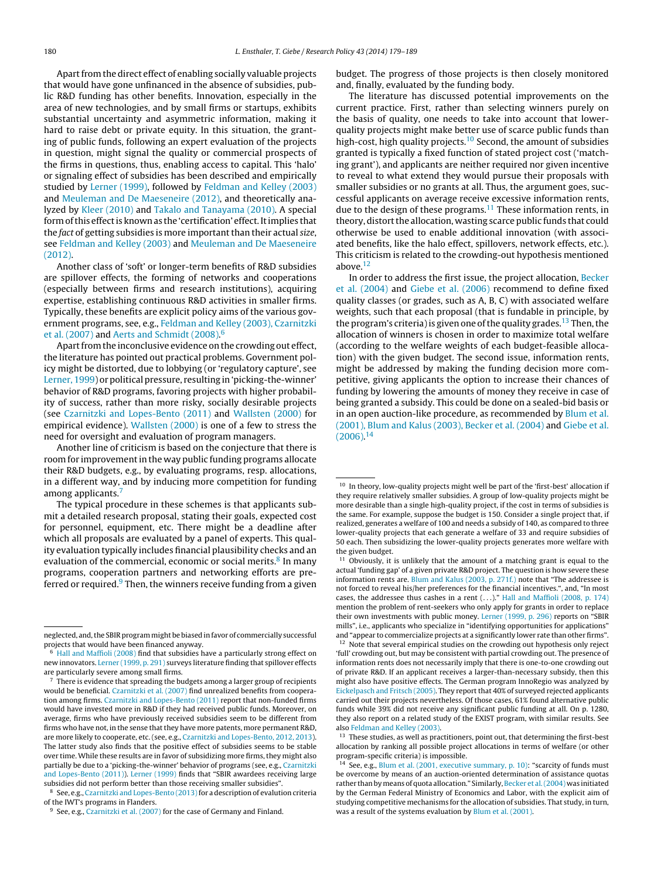Apart from the direct effect of enabling socially valuable projects that would have gone unfinanced in the absence of subsidies, public R&D funding has other benefits. Innovation, especially in the area of new technologies, and by small firms or startups, exhibits substantial uncertainty and asymmetric information, making it hard to raise debt or private equity. In this situation, the granting of public funds, following an expert evaluation of the projects in question, might signal the quality or commercial prospects of the firms in questions, thus, enabling access to capital. This 'halo' or signaling effect of subsidies has been described and empirically studied by [Lerner](#page--1-0) [\(1999\),](#page--1-0) followed by [Feldman](#page--1-0) [and](#page--1-0) [Kelley](#page--1-0) [\(2003\)](#page--1-0) and [Meuleman](#page--1-0) [and](#page--1-0) [De](#page--1-0) [Maeseneire](#page--1-0) [\(2012\),](#page--1-0) and theoretically analyzed by [Kleer](#page--1-0) [\(2010\)](#page--1-0) and [Takalo](#page--1-0) [and](#page--1-0) [Tanayama](#page--1-0) [\(2010\).](#page--1-0) A special form of this effect is known as the 'certification' effect. It implies that the fact of getting subsidies is more important than their actual size, see [Feldman](#page--1-0) [and](#page--1-0) [Kelley](#page--1-0) [\(2003\)](#page--1-0) and [Meuleman](#page--1-0) [and](#page--1-0) [De](#page--1-0) [Maeseneire](#page--1-0) [\(2012\).](#page--1-0)

Another class of 'soft' or longer-term benefits of R&D subsidies are spillover effects, the forming of networks and cooperations (especially between firms and research institutions), acquiring expertise, establishing continuous R&D activities in smaller firms. Typically, these benefits are explicit policy aims of the various government programs, see, e.g., [Feldman](#page--1-0) [and](#page--1-0) [Kelley](#page--1-0) [\(2003\),](#page--1-0) [Czarnitzki](#page--1-0) et [al.](#page--1-0) [\(2007\)](#page--1-0) and [Aerts](#page--1-0) [and](#page--1-0) [Schmidt](#page--1-0) [\(2008\).](#page--1-0)<sup>6</sup>

Apart from the inconclusive evidence on the crowding out effect, the literature has pointed out practical problems. Government policy might be distorted, due to lobbying (or 'regulatory capture', see [Lerner,](#page--1-0) [1999\)](#page--1-0) or political pressure, resulting in'picking-the-winner' behavior of R&D programs, favoring projects with higher probability of success, rather than more risky, socially desirable projects (see [Czarnitzki](#page--1-0) [and](#page--1-0) [Lopes-Bento](#page--1-0) [\(2011\)](#page--1-0) and [Wallsten](#page--1-0) [\(2000\)](#page--1-0) for empirical evidence). [Wallsten](#page--1-0) [\(2000\)](#page--1-0) is one of a few to stress the need for oversight and evaluation of program managers.

Another line of criticism is based on the conjecture that there is room for improvementin the way public funding programs allocate their R&D budgets, e.g., by evaluating programs, resp. allocations, in a different way, and by inducing more competition for funding among applicants.<sup>7</sup>

The typical procedure in these schemes is that applicants submit a detailed research proposal, stating their goals, expected cost for personnel, equipment, etc. There might be a deadline after which all proposals are evaluated by a panel of experts. This quality evaluation typically includes financial plausibility checks and an evaluation of the commercial, economic or social merits.<sup>8</sup> In many programs, cooperation partners and networking efforts are preferred or required. $9$  Then, the winners receive funding from a given

budget. The progress of those projects is then closely monitored and, finally, evaluated by the funding body.

The literature has discussed potential improvements on the current practice. First, rather than selecting winners purely on the basis of quality, one needs to take into account that lowerquality projects might make better use of scarce public funds than high-cost, high quality projects.<sup>10</sup> Second, the amount of subsidies granted is typically a fixed function of stated project cost ('matching grant'), and applicants are neither required nor given incentive to reveal to what extend they would pursue their proposals with smaller subsidies or no grants at all. Thus, the argument goes, successful applicants on average receive excessive information rents, due to the design of these programs.<sup>11</sup> These information rents, in theory, distort the allocation, wasting scarce public funds that could otherwise be used to enable additional innovation (with associated benefits, like the halo effect, spillovers, network effects, etc.). This criticism is related to the crowding-out hypothesis mentioned above. $12$ 

In order to address the first issue, the project allocation, [Becker](#page--1-0) et [al.](#page--1-0) [\(2004\)](#page--1-0) and [Giebe](#page--1-0) et [al.](#page--1-0) [\(2006\)](#page--1-0) recommend to define fixed quality classes (or grades, such as A, B, C) with associated welfare weights, such that each proposal (that is fundable in principle, by the program's criteria) is given one of the quality grades.<sup>13</sup> Then, the allocation of winners is chosen in order to maximize total welfare (according to the welfare weights of each budget-feasible allocation) with the given budget. The second issue, information rents, might be addressed by making the funding decision more competitive, giving applicants the option to increase their chances of funding by lowering the amounts of money they receive in case of being granted a subsidy. This could be done on a sealed-bid basis or in an open auction-like procedure, as recommended by [Blum](#page--1-0) et [al.](#page--1-0) [\(2001\),](#page--1-0) [Blum](#page--1-0) [and](#page--1-0) [Kalus](#page--1-0) [\(2003\),](#page--1-0) [Becker](#page--1-0) et [al.](#page--1-0) [\(2004\)](#page--1-0) and [Giebe](#page--1-0) et [al.](#page--1-0)  $(2006).<sup>14</sup>$  $(2006).<sup>14</sup>$ 

neglected, and, the SBIR program might be biased in favor of commercially successful projects that would have been financed anyway.

<sup>6</sup> [Hall](#page--1-0) [and](#page--1-0) [Maffioli](#page--1-0) [\(2008\)](#page--1-0) find that subsidies have a particularly strong effect on new innovators. [Lerner](#page--1-0) [\(1999,](#page--1-0) [p.](#page--1-0) [291\)](#page--1-0) surveys literature finding that spillover effects are particularly severe among small firms.

<sup>7</sup> There is evidence that spreading the budgets among a larger group of recipients would be beneficial. [Czarnitzki](#page--1-0) et [al.](#page--1-0) [\(2007\)](#page--1-0) find unrealized benefits from cooperation among firms. [Czarnitzki](#page--1-0) [and](#page--1-0) [Lopes-Bento](#page--1-0) [\(2011\)](#page--1-0) report that non-funded firms would have invested more in R&D if they had received public funds. Moreover, on average, firms who have previously received subsidies seem to be different from firms who have not, in the sense that they have more patents, more permanent R&D, are more likely to cooperate, etc. (see, e.g., [Czarnitzki](#page--1-0) [and](#page--1-0) [Lopes-Bento,](#page--1-0) [2012,](#page--1-0) [2013\).](#page--1-0) The latter study also finds that the positive effect of subsidies seems to be stable over time. While these results are in favor of subsidizing more firms, they might also partially be due to a 'picking-the-winner' behavior of programs (see, e.g., [Czarnitzki](#page--1-0) [and](#page--1-0) [Lopes-Bento](#page--1-0) [\(2011\)\).](#page--1-0) [Lerner](#page--1-0) [\(1999\)](#page--1-0) finds that "SBIR awardees receiving large subsidies did not perform better than those receiving smaller subsidies".

<sup>8</sup> See, e.g., [Czarnitzki](#page--1-0) [and](#page--1-0) [Lopes-Bento](#page--1-0) (2013) for a description of evalution criteria of the IWT's programs in Flanders.

<sup>&</sup>lt;sup>9</sup> See, e.g., [Czarnitzki](#page--1-0) et [al.](#page--1-0) [\(2007\)](#page--1-0) for the case of Germany and Finland.

<sup>10</sup> In theory, low-quality projects might well be part of the 'first-best' allocation if they require relatively smaller subsidies. A group of low-quality projects might be more desirable than a single high-quality project, if the cost in terms of subsidies is the same. For example, suppose the budget is 150. Consider a single project that, if realized, generates a welfare of 100 and needs a subsidy of 140, as compared to three lower-quality projects that each generate a welfare of 33 and require subsidies of 50 each. Then subsidizing the lower-quality projects generates more welfare with the given budget.

 $11$  Obviously, it is unlikely that the amount of a matching grant is equal to the actual 'funding gap' of a given private R&D project. The question is how severe these information rents are. [Blum](#page--1-0) [and](#page--1-0) [Kalus](#page--1-0) [\(2003,](#page--1-0) [p.](#page--1-0) [271f.\)](#page--1-0) note that "The addressee is not forced to reveal his/her preferences for the financial incentives.", and, "In most cases, the addressee thus cashes in <sup>a</sup> rent (. . .)." [Hall](#page--1-0) [and](#page--1-0) [Maffioli](#page--1-0) [\(2008,](#page--1-0) [p.](#page--1-0) [174\)](#page--1-0) mention the problem of rent-seekers who only apply for grants in order to replace their own investments with public money. [Lerner](#page--1-0) [\(1999,](#page--1-0) [p.](#page--1-0) [296\)](#page--1-0) reports on "SBIR mills", i.e., applicants who specialize in "identifying opportunities for applications" and "appear to commercialize projects at a significantly lower rate than other firms".  $12$  Note that several empirical studies on the crowding out hypothesis only reject 'full' crowding out, but may be consistent with partial crowding out. The presence of information rents does not necessarily imply that there is one-to-one crowding out of private R&D. If an applicant receives a larger-than-necessary subsidy, then this might also have positive effects. The German program InnoRegio was analyzed by [Eickelpasch](#page--1-0) [and](#page--1-0) [Fritsch](#page--1-0) [\(2005\).](#page--1-0) They report that 40% of surveyed rejected applicants carried out their projects nevertheless. Of those cases, 61% found alternative public funds while 39% did not receive any significant public funding at all. On p. 1280, they also report on a related study of the EXIST program, with similar results. See

also [Feldman](#page--1-0) [and](#page--1-0) [Kelley](#page--1-0) [\(2003\).](#page--1-0) <sup>13</sup> These studies, as well as practitioners, point out, that determining the first-best allocation by ranking all possible project allocations in terms of welfare (or other program-specific criteria) is impossible.

<sup>&</sup>lt;sup>14</sup> See, e.g., [Blum](#page--1-0) et [al.](#page--1-0) [\(2001,](#page--1-0) [executive](#page--1-0) [summary,](#page--1-0) [p.](#page--1-0) [10\):](#page--1-0) "scarcity of funds must be overcome by means of an auction-oriented determination of assistance quotas rather than by means of quota allocation." Similarly, [Becker](#page--1-0) et al. (2004) was initiated by the German Federal Ministry of Economics and Labor, with the explicit aim of studying competitive mechanisms for the allocation of subsidies. That study, in turn, was a result of the systems evaluation by [Blum](#page--1-0) et [al.](#page--1-0) [\(2001\).](#page--1-0)